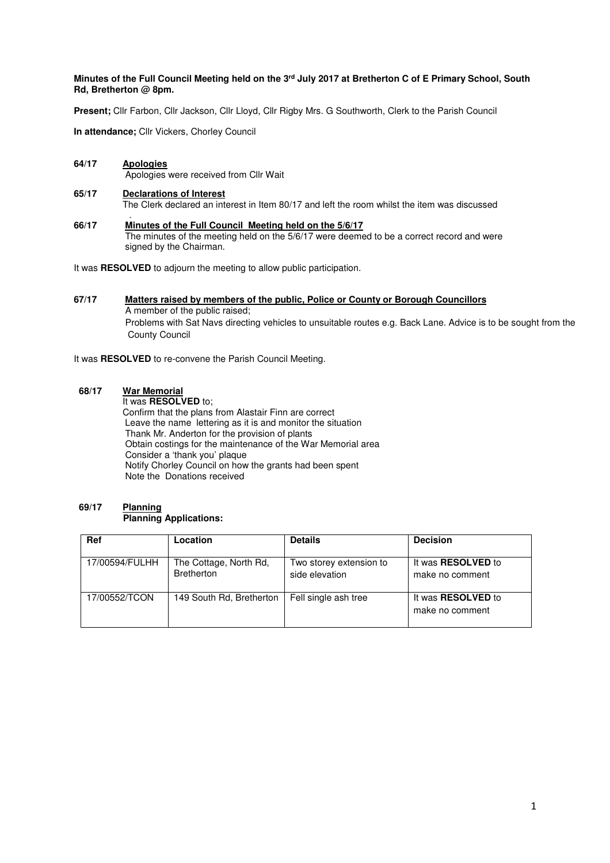# **Minutes of the Full Council Meeting held on the 3rd July 2017 at Bretherton C of E Primary School, South Rd, Bretherton @ 8pm.**

**Present;** Cllr Farbon, Cllr Jackson, Cllr Lloyd, Cllr Rigby Mrs. G Southworth, Clerk to the Parish Council

**In attendance;** Cllr Vickers, Chorley Council

- **64/17 Apologies** Apologies were received from Cllr Wait
- **65/17 Declarations of Interest** The Clerk declared an interest in Item 80/17 and left the room whilst the item was discussed
- . **66/17 Minutes of the Full Council Meeting held on the 5/6/17**  The minutes of the meeting held on the 5/6/17 were deemed to be a correct record and were signed by the Chairman.

It was **RESOLVED** to adjourn the meeting to allow public participation.

# **67/17 Matters raised by members of the public, Police or County or Borough Councillors**  A member of the public raised; Problems with Sat Navs directing vehicles to unsuitable routes e.g. Back Lane. Advice is to be sought from the County Council

It was **RESOLVED** to re-convene the Parish Council Meeting.

# **68/17 War Memorial**

It was **RESOLVED** to;

 Confirm that the plans from Alastair Finn are correct Leave the name lettering as it is and monitor the situation Thank Mr. Anderton for the provision of plants Obtain costings for the maintenance of the War Memorial area Consider a 'thank you' plaque Notify Chorley Council on how the grants had been spent Note the Donations received

#### **69/17 Planning Planning Applications:**

| Ref            | Location                                    | <b>Details</b>                            | <b>Decision</b>                              |
|----------------|---------------------------------------------|-------------------------------------------|----------------------------------------------|
| 17/00594/FULHH | The Cottage, North Rd,<br><b>Bretherton</b> | Two storey extension to<br>side elevation | It was <b>RESOLVED</b> to<br>make no comment |
| 17/00552/TCON  | 149 South Rd, Bretherton                    | Fell single ash tree                      | It was <b>RESOLVED</b> to<br>make no comment |